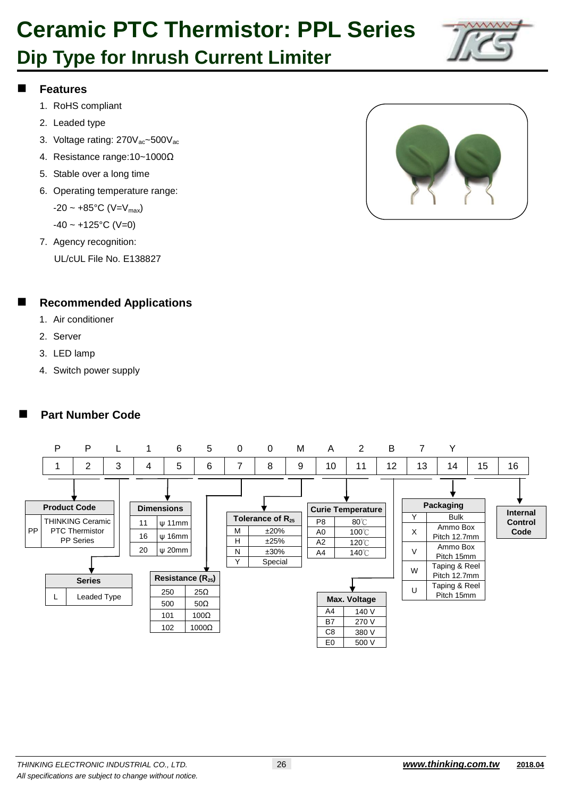# **Dip Type for Inrush Current Limiter**



### **Features**

- 1. RoHS compliant
- 2. Leaded type
- 3. Voltage rating: 270V<sub>ac</sub>~500V<sub>ac</sub>
- 4. Resistance range:10~1000Ω
- 5. Stable over a long time
- 6. Operating temperature range:  $-20 \sim +85$ °C (V=V<sub>max</sub>)

 $-40 \sim +125$ °C (V=0)

7. Agency recognition: UL/cUL File No. E138827

### **Recommended Applications**

- 1. Air conditioner
- 2. Server
- 3. LED lamp
- 4. Switch power supply

### **Part Number Code**



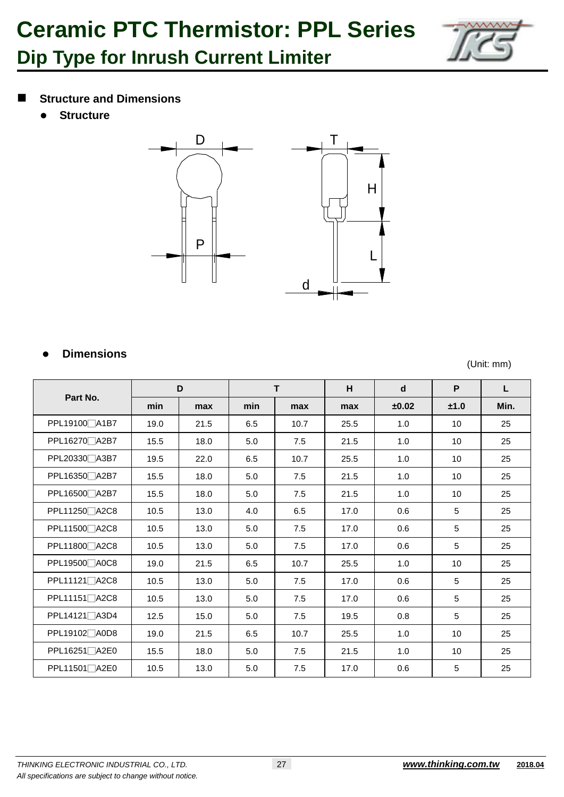

### **Structure and Dimensions**

**Structure**



### **Dimensions**

(Unit: mm)

| Part No.                   |      | D    | T   |      | H    | d     | P    | L    |
|----------------------------|------|------|-----|------|------|-------|------|------|
|                            | min  | max  | min | max  | max  | ±0.02 | ±1.0 | Min. |
| PPL19100□A1B7              | 19.0 | 21.5 | 6.5 | 10.7 | 25.5 | 1.0   | 10   | 25   |
| PPL16270 A2B7              | 15.5 | 18.0 | 5.0 | 7.5  | 21.5 | 1.0   | 10   | 25   |
| PPL20330□A3B7              | 19.5 | 22.0 | 6.5 | 10.7 | 25.5 | 1.0   | 10   | 25   |
| PPL16350 <sup>A2B7</sup>   | 15.5 | 18.0 | 5.0 | 7.5  | 21.5 | 1.0   | 10   | 25   |
| PPL16500 A2B7              | 15.5 | 18.0 | 5.0 | 7.5  | 21.5 | 1.0   | 10   | 25   |
| PPL11250 A2C8              | 10.5 | 13.0 | 4.0 | 6.5  | 17.0 | 0.6   | 5    | 25   |
| PPL11500 A2C8              | 10.5 | 13.0 | 5.0 | 7.5  | 17.0 | 0.6   | 5    | 25   |
| PPL11800 <sup>2</sup> A2C8 | 10.5 | 13.0 | 5.0 | 7.5  | 17.0 | 0.6   | 5    | 25   |
| PPL19500 <sup>2</sup> A0C8 | 19.0 | 21.5 | 6.5 | 10.7 | 25.5 | 1.0   | 10   | 25   |
| PPL11121□A2C8              | 10.5 | 13.0 | 5.0 | 7.5  | 17.0 | 0.6   | 5    | 25   |
| PPL11151 <sup>A2C8</sup>   | 10.5 | 13.0 | 5.0 | 7.5  | 17.0 | 0.6   | 5    | 25   |
| PPL14121 <sup>A3D4</sup>   | 12.5 | 15.0 | 5.0 | 7.5  | 19.5 | 0.8   | 5    | 25   |
| PPL19102□A0D8              | 19.0 | 21.5 | 6.5 | 10.7 | 25.5 | 1.0   | 10   | 25   |
| PPL16251□A2E0              | 15.5 | 18.0 | 5.0 | 7.5  | 21.5 | 1.0   | 10   | 25   |
| PPL11501 <sup>∩</sup> A2E0 | 10.5 | 13.0 | 5.0 | 7.5  | 17.0 | 0.6   | 5    | 25   |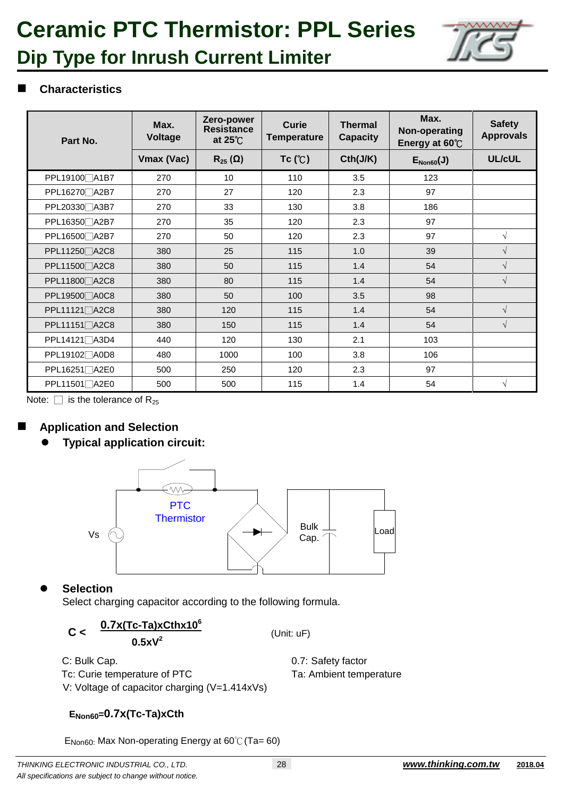

### **Dip Type for Inrush Current Limiter**

### **Characteristics**

| Part No.                  | Max.<br><b>Voltage</b> | Zero-power<br><b>Resistance</b><br>at $25^{\circ}$ | Curie<br><b>Temperature</b> | <b>Thermal</b><br><b>Capacity</b> | Max.<br>Non-operating<br>Energy at 60°C | <b>Safety</b><br><b>Approvals</b> |
|---------------------------|------------------------|----------------------------------------------------|-----------------------------|-----------------------------------|-----------------------------------------|-----------------------------------|
|                           | Vmax (Vac)             | $R_{25}(\Omega)$                                   | Tc (C)                      | Cth(J/K)                          | $E_{Non60}(J)$                          | UL/cUL                            |
| PPL19100 A1B7             | 270                    | 10                                                 | 110                         | 3.5                               | 123                                     |                                   |
| PPL16270□A2B7             | 270                    | 27                                                 | 120                         | 2.3                               | 97                                      |                                   |
| PPL20330 A3B7             | 270                    | 33                                                 | 130                         | 3.8                               | 186                                     |                                   |
| PPL16350 A2B7             | 270                    | 35                                                 | 120                         | 2.3                               | 97                                      |                                   |
| PPL16500 A2B7             | 270                    | 50                                                 | 120                         | 2.3                               | 97                                      | $\sqrt{ }$                        |
| PPL11250 A2C8             | 380                    | 25                                                 | 115                         | 1.0                               | 39                                      | $\sqrt{ }$                        |
| PPL11500 A2C8             | 380                    | 50                                                 | 115                         | 1.4                               | 54                                      | $\sqrt{ }$                        |
| PPL11800□A2C8             | 380                    | 80                                                 | 115                         | 1.4                               | 54                                      | $\sqrt{ }$                        |
| PPL19500 A0C8             | 380                    | 50                                                 | 100                         | 3.5                               | 98                                      |                                   |
| PPL11121 <sup></sup> A2C8 | 380                    | 120                                                | 115                         | 1.4                               | 54                                      | $\sqrt{ }$                        |
| PPL11151∏A2C8             | 380                    | 150                                                | 115                         | 1.4                               | 54                                      | $\sqrt{ }$                        |
| PPL14121 <sup>A3D4</sup>  | 440                    | 120                                                | 130                         | 2.1                               | 103                                     |                                   |
| PPL19102 <sup>A0D8</sup>  | 480                    | 1000                                               | 100                         | 3.8                               | 106                                     |                                   |
| PPL16251 <sup>A2E0</sup>  | 500                    | 250                                                | 120                         | 2.3                               | 97                                      |                                   |
| PPL11501 <sup></sup> A2E0 | 500                    | 500                                                | 115                         | 1.4                               | 54                                      | $\sqrt{ }$                        |

Note:  $\Box$  is the tolerance of R<sub>25</sub>

### **Application and Selection**

**Typical application circuit:** 



**Selection** 

Select charging capacitor according to the following formula.

$$
C < \frac{0.7x(Tc-Ta)xCthx10^6}{0.5xV^2}
$$

(Unit: uF)

C: Bulk Cap. **0.7: Safety factor** Tc: Curie temperature of PTC Ta: Ambient temperature V: Voltage of capacitor charging (V=1.414xVs)

### **ENon60=0.7x(Tc-Ta)xCth**

 $E_{\text{Non60}}$  Max Non-operating Energy at 60°C (Ta= 60)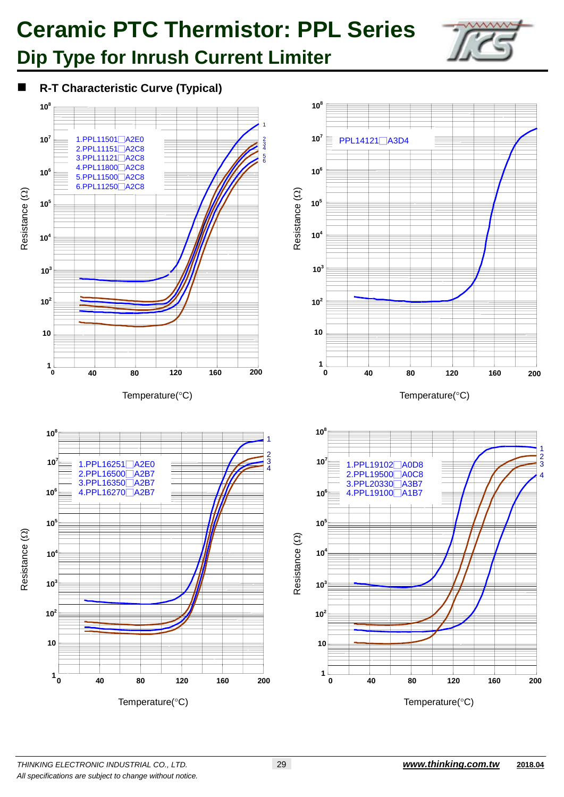

### **Dip Type for Inrush Current Limiter**

**R-T Characteristic Curve (Typical)**

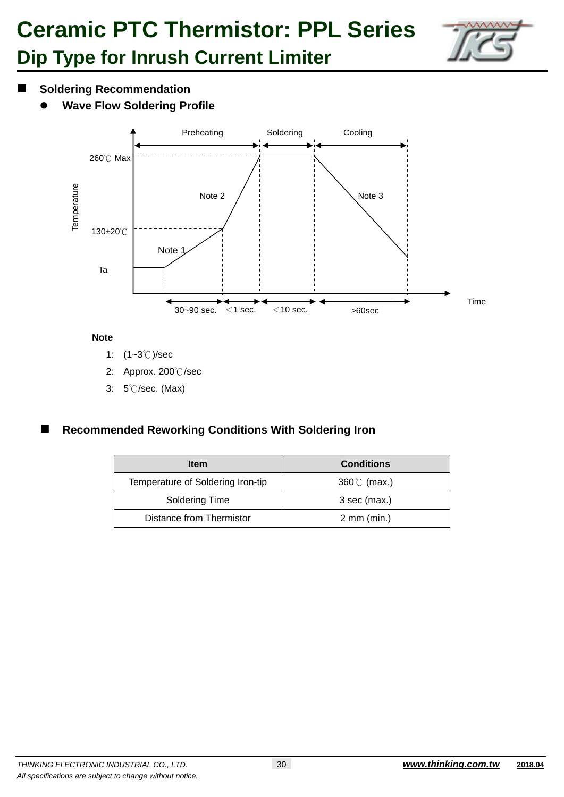

### **Dip Type for Inrush Current Limiter**

- **Soldering Recommendation**
	- **Wave Flow Soldering Profile**



#### **Note**

- 1: (1~3℃)/sec
- 2: Approx. 200℃/sec
- 3: 5℃/sec. (Max)

### **Recommended Reworking Conditions With Soldering Iron**

| <b>Item</b>                       | <b>Conditions</b>       |
|-----------------------------------|-------------------------|
| Temperature of Soldering Iron-tip | $360^{\circ}$ (max.)    |
| Soldering Time                    | 3 sec (max.)            |
| Distance from Thermistor          | $2 \, \text{mm}$ (min.) |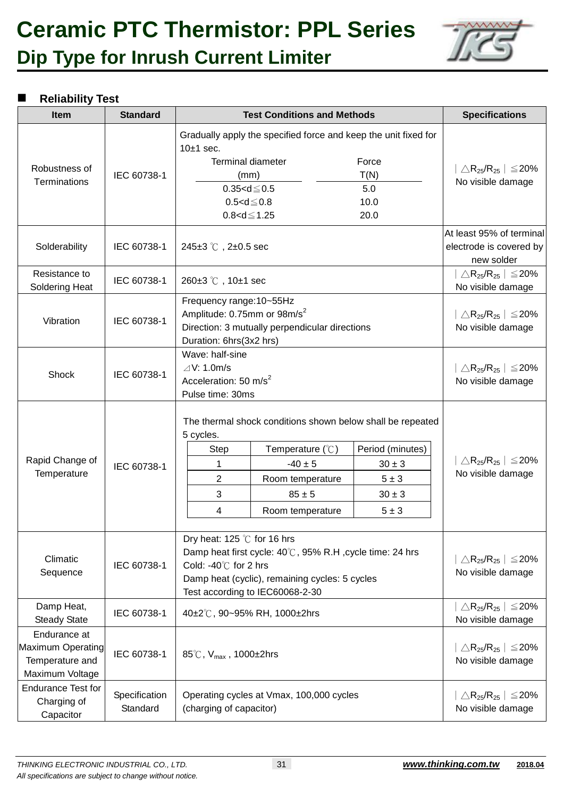## **Ceramic PTC Thermistor: PPL Series Dip Type for Inrush Current Limiter**



### **Reliability Test**

| <b>Item</b>                                                             | <b>Standard</b>           | <b>Test Conditions and Methods</b>                                                                                                                                                                                          |                                                                                                                                                                |                                                                                | <b>Specifications</b>                                                                |
|-------------------------------------------------------------------------|---------------------------|-----------------------------------------------------------------------------------------------------------------------------------------------------------------------------------------------------------------------------|----------------------------------------------------------------------------------------------------------------------------------------------------------------|--------------------------------------------------------------------------------|--------------------------------------------------------------------------------------|
| Robustness of<br><b>Terminations</b>                                    | IEC 60738-1               | Gradually apply the specified force and keep the unit fixed for<br>$10±1$ sec.<br><b>Terminal diameter</b><br>Force<br>T(N)<br>(mm)<br>$0.35 < d \le 0.5$<br>5.0<br>$0.5 < d \le 0.8$<br>10.0<br>$0.8 < d \le 1.25$<br>20.0 |                                                                                                                                                                | $\triangle$ R <sub>25</sub> /R <sub>25</sub>   $\leq$ 20%<br>No visible damage |                                                                                      |
| Solderability                                                           | IEC 60738-1               | 245 $\pm$ 3 °C, 2 $\pm$ 0.5 sec                                                                                                                                                                                             |                                                                                                                                                                |                                                                                | At least 95% of terminal<br>electrode is covered by<br>new solder                    |
| Resistance to<br>Soldering Heat                                         | IEC 60738-1               | 260±3 °C, 10±1 sec                                                                                                                                                                                                          |                                                                                                                                                                |                                                                                | $\triangle$ R <sub>25</sub> /R <sub>25</sub>   $\leq$ 20%<br>No visible damage       |
| Vibration                                                               | IEC 60738-1               | Frequency range: 10~55Hz<br>Amplitude: 0.75mm or 98m/s <sup>2</sup><br>Direction: 3 mutually perpendicular directions<br>Duration: 6hrs(3x2 hrs)                                                                            |                                                                                                                                                                |                                                                                | $\triangle$ R <sub>25</sub> /R <sub>25</sub>   $\leq$ 20%<br>No visible damage       |
| Shock                                                                   | IEC 60738-1               | Wave: half-sine<br>$\angle$ V: 1.0m/s<br>Acceleration: 50 m/s <sup>2</sup><br>Pulse time: 30ms                                                                                                                              |                                                                                                                                                                |                                                                                | $\triangle$ R <sub>25</sub> /R <sub>25</sub>   $\leq$ 20%<br>No visible damage       |
| Rapid Change of<br>Temperature                                          | IEC 60738-1               | 5 cycles.<br><b>Step</b><br>1<br>$\overline{2}$<br>3<br>4                                                                                                                                                                   | The thermal shock conditions shown below shall be repeated<br>Temperature $(\mathcal{C})$<br>$-40 \pm 5$<br>Room temperature<br>$85 \pm 5$<br>Room temperature | Period (minutes)<br>$30 \pm 3$<br>$5 \pm 3$<br>$30 \pm 3$<br>$5 \pm 3$         | $\triangle$ R <sub>25</sub> /R <sub>25</sub> $\vert$ $\leq$ 20%<br>No visible damage |
| Climatic<br>Sequence                                                    | IEC 60738-1               | Dry heat: 125 $\degree$ C for 16 hrs<br>Damp heat first cycle: 40℃, 95% R.H, cycle time: 24 hrs<br>Cold: -40℃ for 2 hrs<br>Damp heat (cyclic), remaining cycles: 5 cycles<br>Test according to IEC60068-2-30                |                                                                                                                                                                |                                                                                | $\triangle$ R <sub>25</sub> /R <sub>25</sub>   $\leq$ 20%<br>No visible damage       |
| Damp Heat,<br><b>Steady State</b>                                       | IEC 60738-1               | 40±2℃, 90~95% RH, 1000±2hrs                                                                                                                                                                                                 |                                                                                                                                                                |                                                                                | $\triangle$ R <sub>25</sub> /R <sub>25</sub>   $\leq$ 20%<br>No visible damage       |
| Endurance at<br>Maximum Operating<br>Temperature and<br>Maximum Voltage | IEC 60738-1               | 85°C, $V_{max}$ , 1000±2hrs                                                                                                                                                                                                 |                                                                                                                                                                |                                                                                | $\triangle$ R <sub>25</sub> /R <sub>25</sub>   $\leq$ 20%<br>No visible damage       |
| <b>Endurance Test for</b><br>Charging of<br>Capacitor                   | Specification<br>Standard | Operating cycles at Vmax, 100,000 cycles<br>(charging of capacitor)                                                                                                                                                         |                                                                                                                                                                |                                                                                | $\triangle$ R <sub>25</sub> /R <sub>25</sub>   $\leq$ 20%<br>No visible damage       |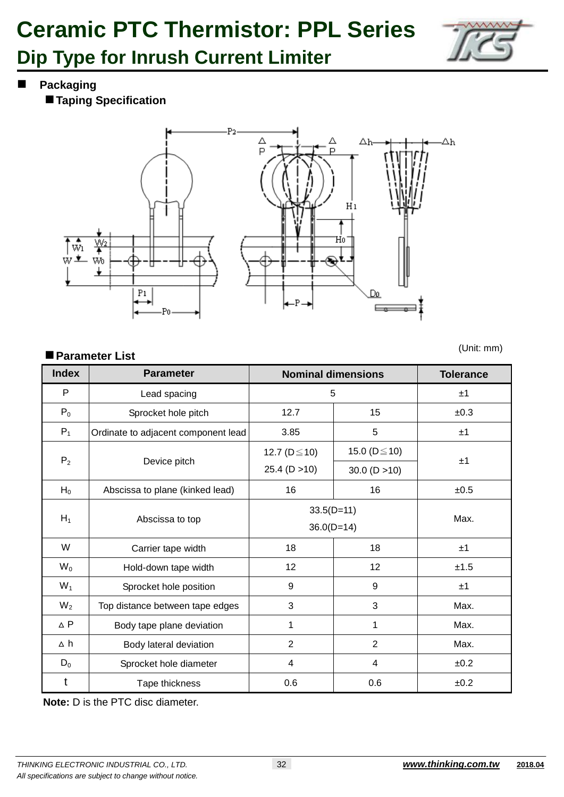

### **Dip Type for Inrush Current Limiter**

**Packaging**

**Taping Specification**



### **Parameter List**

(Unit: mm)

| <b>Index</b>   | <b>Parameter</b>                    | <b>Nominal dimensions</b> | <b>Tolerance</b>    |      |
|----------------|-------------------------------------|---------------------------|---------------------|------|
| P              | Lead spacing                        | 5                         | ±1                  |      |
| $P_0$          | Sprocket hole pitch                 | 12.7                      | 15                  | ±0.3 |
| $P_1$          | Ordinate to adjacent component lead | 3.85                      | 5                   | ±1   |
|                |                                     | 12.7 ( $D \le 10$ )       | 15.0 ( $D \le 10$ ) |      |
| P <sub>2</sub> | Device pitch                        | 25.4(D > 10)              | 30.0(D > 10)        | ±1   |
| $H_0$          | Abscissa to plane (kinked lead)     | 16                        | 16                  | ±0.5 |
| $H_1$          |                                     | $33.5(D=11)$              | Max.                |      |
|                | Abscissa to top                     | $36.0(D=14)$              |                     |      |
| W              | Carrier tape width                  | 18                        | 18                  | ±1   |
| $W_0$          | Hold-down tape width                | 12                        | 12                  | ±1.5 |
| $W_1$          | Sprocket hole position              | 9                         | 9                   | ±1   |
| $W_2$          | Top distance between tape edges     | 3                         | 3                   | Max. |
| $\triangle$ P  | Body tape plane deviation           | 1                         | 1                   | Max. |
| ∆ h            | Body lateral deviation              | 2                         | $\overline{2}$      | Max. |
| $D_0$          | Sprocket hole diameter              | 4                         | 4                   | ±0.2 |
| t              | Tape thickness                      | 0.6                       | 0.6                 | ±0.2 |

**Note:** D is the PTC disc diameter.